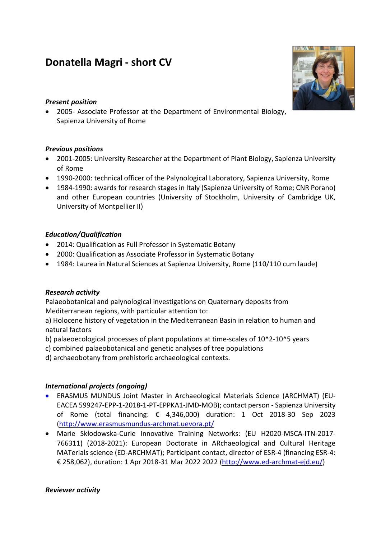# Donatella Magri - short CV

#### Present position

 2005- Associate Professor at the Department of Environmental Biology, Sapienza University of Rome

# Previous positions

- 2001-2005: University Researcher at the Department of Plant Biology, Sapienza University of Rome
- 1990-2000: technical officer of the Palynological Laboratory, Sapienza University, Rome
- 1984-1990: awards for research stages in Italy (Sapienza University of Rome; CNR Porano) and other European countries (University of Stockholm, University of Cambridge UK, University of Montpellier II)

# Education/Qualification

- 2014: Qualification as Full Professor in Systematic Botany
- 2000: Qualification as Associate Professor in Systematic Botany
- 1984: Laurea in Natural Sciences at Sapienza University, Rome (110/110 cum laude)

# Research activity

Palaeobotanical and palynological investigations on Quaternary deposits from Mediterranean regions, with particular attention to:

a) Holocene history of vegetation in the Mediterranean Basin in relation to human and natural factors

b) palaeoecological processes of plant populations at time-scales of 10^2-10^5 years

c) combined palaeobotanical and genetic analyses of tree populations

d) archaeobotany from prehistoric archaeological contexts.

# International projects (ongoing)

- ERASMUS MUNDUS Joint Master in Archaeological Materials Science (ARCHMAT) (EU-EACEA 599247-EPP-1-2018-1-PT-EPPKA1-JMD-MOB); contact person - Sapienza University of Rome (total financing: € 4,346,000) duration: 1 Oct 2018-30 Sep 2023 (http://www.erasmusmundus-archmat.uevora.pt/
- Marie Skłodowska-Curie Innovative Training Networks: (EU H2020-MSCA-ITN-2017- 766311) (2018-2021): European Doctorate in ARchaeological and Cultural Heritage MATerials science (ED-ARCHMAT); Participant contact, director of ESR-4 (financing ESR-4: € 258,062), duration: 1 Apr 2018-31 Mar 2022 2022 (http://www.ed-archmat-ejd.eu/)

#### Reviewer activity

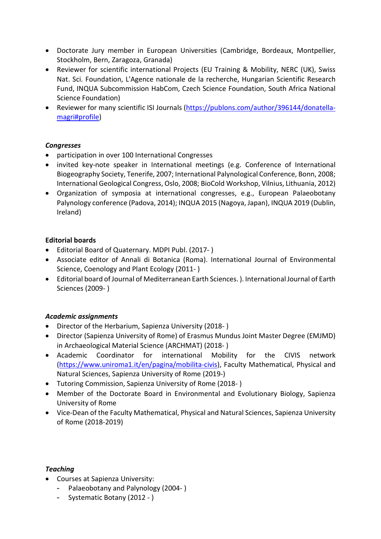- Doctorate Jury member in European Universities (Cambridge, Bordeaux, Montpellier, Stockholm, Bern, Zaragoza, Granada)
- Reviewer for scientific international Projects (EU Training & Mobility, NERC (UK), Swiss Nat. Sci. Foundation, L'Agence nationale de la recherche, Hungarian Scientific Research Fund, INQUA Subcommission HabCom, Czech Science Foundation, South Africa National Science Foundation)
- Reviewer for many scientific ISI Journals (https://publons.com/author/396144/donatellamagri#profile)

# **Congresses**

- participation in over 100 International Congresses
- invited key-note speaker in International meetings (e.g. Conference of International Biogeography Society, Tenerife, 2007; International Palynological Conference, Bonn, 2008; International Geological Congress, Oslo, 2008; BioCold Workshop, Vilnius, Lithuania, 2012)
- Organization of symposia at international congresses, e.g., European Palaeobotany Palynology conference (Padova, 2014); INQUA 2015 (Nagoya, Japan), INQUA 2019 (Dublin, Ireland)

# Editorial boards

- Editorial Board of Quaternary. MDPI Publ. (2017- )
- Associate editor of Annali di Botanica (Roma). International Journal of Environmental Science, Coenology and Plant Ecology (2011- )
- Editorial board of Journal of Mediterranean Earth Sciences. ). International Journal of Earth Sciences (2009- )

# Academic assignments

- Director of the Herbarium, Sapienza University (2018- )
- Director (Sapienza University of Rome) of Erasmus Mundus Joint Master Degree (EMJMD) in Archaeological Material Science (ARCHMAT) (2018- )
- Academic Coordinator for international Mobility for the CIVIS network (https://www.uniroma1.it/en/pagina/mobilita-civis), Faculty Mathematical, Physical and Natural Sciences, Sapienza University of Rome (2019-)
- Tutoring Commission, Sapienza University of Rome (2018- )
- Member of the Doctorate Board in Environmental and Evolutionary Biology, Sapienza University of Rome
- Vice-Dean of the Faculty Mathematical, Physical and Natural Sciences, Sapienza University of Rome (2018-2019)

#### Teaching

- Courses at Sapienza University:
	- Palaeobotany and Palynology (2004- )
	- Systematic Botany (2012 )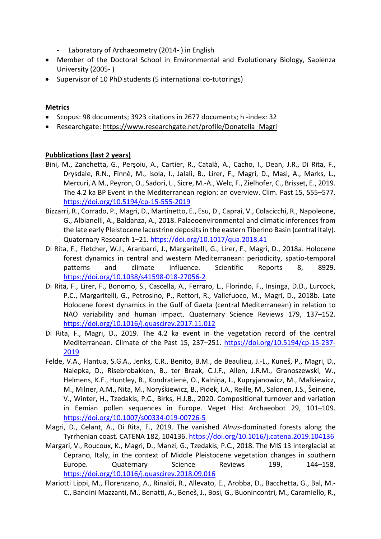- Laboratory of Archaeometry (2014- ) in English
- Member of the Doctoral School in Environmental and Evolutionary Biology, Sapienza University (2005- )
- Supervisor of 10 PhD students (5 international co-tutorings)

#### Metrics

- Scopus: 98 documents; 3923 citations in 2677 documents; h -index: 32
- Researchgate: https://www.researchgate.net/profile/Donatella\_Magri

#### Pubblications (last 2 years)

- Bini, M., Zanchetta, G., Perşoiu, A., Cartier, R., Català, A., Cacho, I., Dean, J.R., Di Rita, F., Drysdale, R.N., Finnè, M., Isola, I., Jalali, B., Lirer, F., Magri, D., Masi, A., Marks, L., Mercuri, A.M., Peyron, O., Sadori, L., Sicre, M.-A., Welc, F., Zielhofer, C., Brisset, E., 2019. The 4.2 ka BP Event in the Mediterranean region: an overview. Clim. Past 15, 555–577. https://doi.org/10.5194/cp-15-555-2019
- Bizzarri, R., Corrado, P., Magri, D., Martinetto, E., Esu, D., Caprai, V., Colacicchi, R., Napoleone, G., Albianelli, A., Baldanza, A., 2018. Palaeoenvironmental and climatic inferences from the late early Pleistocene lacustrine deposits in the eastern Tiberino Basin (central Italy). Quaternary Research 1–21. https://doi.org/10.1017/qua.2018.41
- Di Rita, F., Fletcher, W.J., Aranbarri, J., Margaritelli, G., Lirer, F., Magri, D., 2018a. Holocene forest dynamics in central and western Mediterranean: periodicity, spatio-temporal patterns and climate influence. Scientific Reports 8, 8929. https://doi.org/10.1038/s41598-018-27056-2
- Di Rita, F., Lirer, F., Bonomo, S., Cascella, A., Ferraro, L., Florindo, F., Insinga, D.D., Lurcock, P.C., Margaritelli, G., Petrosino, P., Rettori, R., Vallefuoco, M., Magri, D., 2018b. Late Holocene forest dynamics in the Gulf of Gaeta (central Mediterranean) in relation to NAO variability and human impact. Quaternary Science Reviews 179, 137–152. https://doi.org/10.1016/j.quascirev.2017.11.012
- Di Rita, F., Magri, D., 2019. The 4.2 ka event in the vegetation record of the central Mediterranean. Climate of the Past 15, 237-251. https://doi.org/10.5194/cp-15-237-2019
- Felde, V.A., Flantua, S.G.A., Jenks, C.R., Benito, B.M., de Beaulieu, J.-L., Kuneš, P., Magri, D., Nalepka, D., Risebrobakken, B., ter Braak, C.J.F., Allen, J.R.M., Granoszewski, W., Helmens, K.F., Huntley, B., Kondratienė, O., Kalniņa, L., Kupryjanowicz, M., Malkiewicz, M., Milner, A.M., Nita, M., Noryśkiewicz, B., Pidek, I.A., Reille, M., Salonen, J.S., Šeirienė, V., Winter, H., Tzedakis, P.C., Birks, H.J.B., 2020. Compositional turnover and variation in Eemian pollen sequences in Europe. Veget Hist Archaeobot 29, 101–109. https://doi.org/10.1007/s00334-019-00726-5
- Magri, D., Celant, A., Di Rita, F., 2019. The vanished Alnus-dominated forests along the Tyrrhenian coast. CATENA 182, 104136. https://doi.org/10.1016/j.catena.2019.104136
- Margari, V., Roucoux, K., Magri, D., Manzi, G., Tzedakis, P.C., 2018. The MIS 13 interglacial at Ceprano, Italy, in the context of Middle Pleistocene vegetation changes in southern Europe. Quaternary Science Reviews 199, 144–158. https://doi.org/10.1016/j.quascirev.2018.09.016
- Mariotti Lippi, M., Florenzano, A., Rinaldi, R., Allevato, E., Arobba, D., Bacchetta, G., Bal, M.- C., Bandini Mazzanti, M., Benatti, A., Beneš, J., Bosi, G., Buonincontri, M., Caramiello, R.,